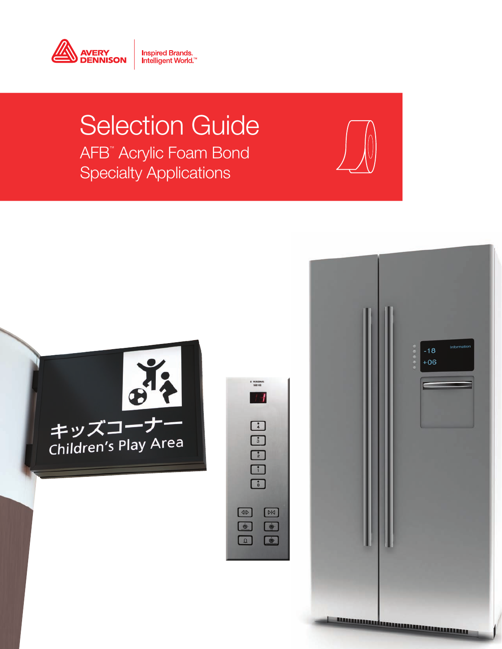

# Selection Guide AFB™ Acrylic Foam Bond Specialty Applications

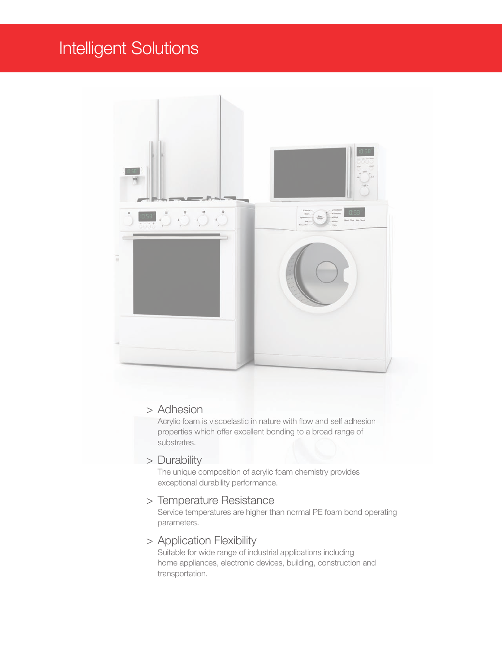## Intelligent Solutions

![](_page_1_Picture_1.jpeg)

#### > Adhesion

Acrylic foam is viscoelastic in nature with flow and self adhesion properties which offer excellent bonding to a broad range of substrates.

#### > Durability

The unique composition of acrylic foam chemistry provides exceptional durability performance.

#### > Temperature Resistance

Service temperatures are higher than normal PE foam bond operating parameters.

#### > Application Flexibility

Suitable for wide range of industrial applications including home appliances, electronic devices, building, construction and transportation.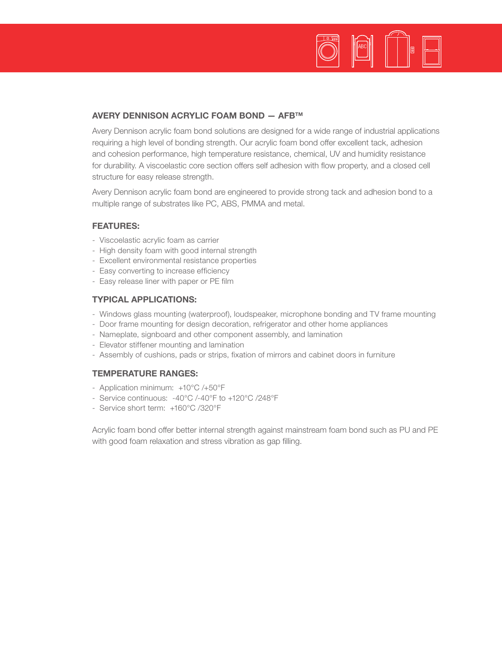![](_page_2_Picture_0.jpeg)

#### AVERY DENNISON ACRYLIC FOAM BOND — AFBTM

Avery Dennison acrylic foam bond solutions are designed for a wide range of industrial applications requiring a high level of bonding strength. Our acrylic foam bond offer excellent tack, adhesion and cohesion performance, high temperature resistance, chemical, UV and humidity resistance for durability. A viscoelastic core section offers self adhesion with flow property, and a closed cell structure for easy release strength.

Avery Dennison acrylic foam bond are engineered to provide strong tack and adhesion bond to a multiple range of substrates like PC, ABS, PMMA and metal.

#### FEATURES:

- Viscoelastic acrylic foam as carrier
- High density foam with good internal strength
- Excellent environmental resistance properties
- Easy converting to increase efficiency
- Easy release liner with paper or PE film

#### TYPICAL APPLICATIONS:

- Windows glass mounting (waterproof), loudspeaker, microphone bonding and TV frame mounting
- Door frame mounting for design decoration, refrigerator and other home appliances
- Nameplate, signboard and other component assembly, and lamination
- Elevator stiffener mounting and lamination
- Assembly of cushions, pads or strips, fixation of mirrors and cabinet doors in furniture

#### TEMPERATURE RANGES:

- Application minimum: +10°C /+50°F
- Service continuous: -40°C /-40°F to +120°C /248°F
- Service short term: +160°C /320°F

Acrylic foam bond offer better internal strength against mainstream foam bond such as PU and PE with good foam relaxation and stress vibration as gap filling.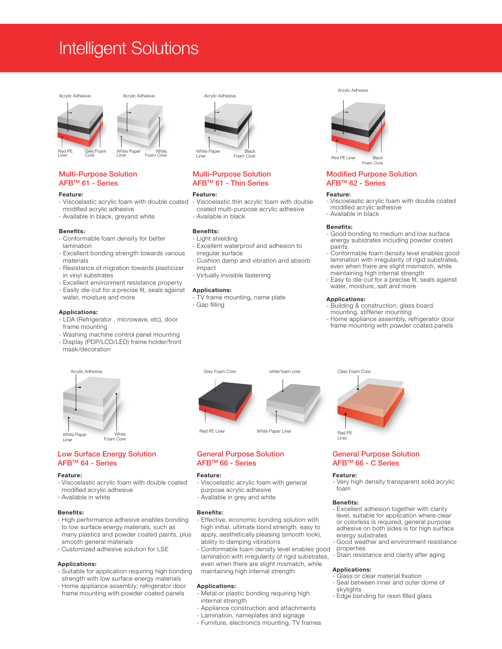### Intelligent Solutions

![](_page_3_Figure_1.jpeg)

![](_page_3_Figure_2.jpeg)

#### Multi-Purpose Solution AFBTM 61 - Series

#### Feature:

- Viscoelastic acrylic foam with double coated modified acrylic adhesive
- Available in black, greyand white

#### Benefits:

- Conformable foam density for better lamination
- Excellent bonding strength towards various materials
- Resistance of migration towards plasticizer in vinyl substrates
- Excellent environment resistance property
- Easily die-cut for a precise fit, seals against water, moisture and more

#### Applications:

- LDA (Refrigerator , microwave, etc), door frame mounting
- Washing machine control panel mounting - Display (PDP/LCD/LED) frame holder/front
- mask/decoration

![](_page_3_Figure_17.jpeg)

#### Low Surface Energy Solution AFBTM 64 - Series

#### Feature:

- Viscoelastic acrylic foam with double coated modified acrylic adhesive
- Available in white

#### Benefits:

- High performance adhesive enables bonding to low surface energy materials, such as many plastics and powder coated paints, plus smooth general materials
- Customized adhesive solution for LSE

#### Applications:

- Suitable for application requiring high bonding strength with low surface energy materials
- Home appliance assembly; refrigerator door frame mounting with powder coated panels

![](_page_3_Picture_28.jpeg)

#### Multi-Purpose Solution AFBTM 61 - Thin Series

#### Feature:

- Viscoelastic thin acrylic foam with double coated multi-purpose acrylic adhesive - Available in black

#### Benefits:

- Light shielding - Excellent waterproof and adhesion to
- irregular surface
- Cushion damp and vibration and absorb impact
- Virtually invisible fastening

#### Applications:

- TV frame mounting, name plate - Gap filling
- 

![](_page_3_Figure_40.jpeg)

Foam Core

#### Modified Purpose Solution AFBTM 62 - Series

#### Feature:

- Viscoelastic acrylic foam with double coated modified acrylic adhesive
- Available in black

#### Benefits:

- Good bonding to medium and low surface energy substrates including powder coated paints
- Conformable foam density level enables good lamination with irregularity of rigid substrates, even when there are slight mismatch, while
- maintaining high internal strength - Easy to die-cut for a precise fit, seals against water, moisture, salt and more

#### Applications:

- Building & construction, glass board
- mounting, stiffener mounting
- Home appliance assembly, refrigerator door frame mounting with powder coated panels

![](_page_3_Figure_54.jpeg)

#### General Purpose Solution AFBTM 66 - Series

#### Feature:

- Viscoelastic acrylic foam with general purpose acrylic adhesive
- Available in grey and white

#### Benefits:

- Effective, economic bonding solution with high initial, ultimate bond strength, easy to apply, aesthetically pleasing (smooth look), ability to damping vibrations
- Conformable foam density level enables good lamination with irregularity of rigid substrates, even when there are slight mismatch, while maintaining high internal strength

#### Applications:

- Metal or plastic bonding requiring high internal strength
- Appliance construction and attachments
- Lamination, nameplates and signage
- Furniture, electronics mounting, TV frames

# Clear Foam Core Red PE Liner

#### General Purpose Solution AFBTM 66 - C Series

#### Feature:

Very high density transparent solid acrylic foam

#### Benefits:

- Excellent adhesion together with clarity level, suitable for application where clear or colorless is required, general purpose adhesive on both sides is for high surface energy substrates
- Good weather and environment resistance properties
- Stain resistance and clarity after aging

#### Applications:

- Glass or clear material fixation
- Seal between inner and outer dome of skylights
- Edge bonding for resin filled glass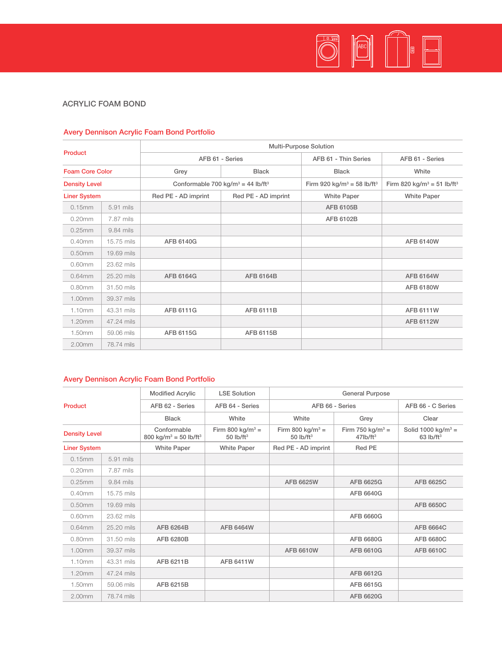# O B D D B

#### ACRYLIC FOAM BOND

#### Avery Dennison Acrylic Foam Bond Portfolio

| Product                |            | Multi-Purpose Solution |                                                           |                                                    |                                                    |  |  |  |  |  |
|------------------------|------------|------------------------|-----------------------------------------------------------|----------------------------------------------------|----------------------------------------------------|--|--|--|--|--|
|                        |            | AFB 61 - Series        |                                                           | AFB 61 - Thin Series                               | AFB 61 - Series                                    |  |  |  |  |  |
| <b>Foam Core Color</b> |            | Grey                   | <b>Black</b>                                              | <b>Black</b>                                       | White                                              |  |  |  |  |  |
| <b>Density Level</b>   |            |                        | Conformable 700 kg/m <sup>3</sup> = 44 lb/ft <sup>3</sup> | Firm 920 kg/m <sup>3</sup> = 58 lb/ft <sup>3</sup> | Firm 820 kg/m <sup>3</sup> = 51 lb/ft <sup>3</sup> |  |  |  |  |  |
| <b>Liner System</b>    |            | Red PE - AD imprint    | Red PE - AD imprint                                       | <b>White Paper</b>                                 | <b>White Paper</b>                                 |  |  |  |  |  |
| 0.15mm                 | 5.91 mils  |                        |                                                           | AFB 6105B                                          |                                                    |  |  |  |  |  |
| $0.20$ mm              | 7.87 mils  |                        |                                                           | AFB 6102B                                          |                                                    |  |  |  |  |  |
| 0.25mm                 | 9.84 mils  |                        |                                                           |                                                    |                                                    |  |  |  |  |  |
| 0.40mm                 | 15.75 mils | AFB 6140G              |                                                           |                                                    | <b>AFB 6140W</b>                                   |  |  |  |  |  |
| 0.50mm                 | 19.69 mils |                        |                                                           |                                                    |                                                    |  |  |  |  |  |
| 0.60mm                 | 23.62 mils |                        |                                                           |                                                    |                                                    |  |  |  |  |  |
| $0.64$ mm              | 25.20 mils | AFB 6164G              | <b>AFB 6164B</b>                                          |                                                    | <b>AFB 6164W</b>                                   |  |  |  |  |  |
| $0.80$ mm              | 31.50 mils |                        |                                                           |                                                    | <b>AFB 6180W</b>                                   |  |  |  |  |  |
| 1.00mm                 | 39.37 mils |                        |                                                           |                                                    |                                                    |  |  |  |  |  |
| 1.10mm                 | 43.31 mils | AFB 6111G              | <b>AFB 6111B</b>                                          |                                                    | <b>AFB 6111W</b>                                   |  |  |  |  |  |
| 1.20mm                 | 47.24 mils |                        |                                                           |                                                    | <b>AFB 6112W</b>                                   |  |  |  |  |  |
| 1.50mm                 | 59.06 mils | AFB 6115G              | AFB 6115B                                                 |                                                    |                                                    |  |  |  |  |  |
| 2.00mm                 | 78.74 mils |                        |                                                           |                                                    |                                                    |  |  |  |  |  |

#### Avery Dennison Acrylic Foam Bond Portfolio

| <b>Product</b>       |            | <b>Modified Acrylic</b>                                      | <b>LSE Solution</b>                                      | <b>General Purpose</b>                                  |                                                         |                                                           |  |  |  |  |
|----------------------|------------|--------------------------------------------------------------|----------------------------------------------------------|---------------------------------------------------------|---------------------------------------------------------|-----------------------------------------------------------|--|--|--|--|
|                      |            | AFB 62 - Series                                              | AFB 64 - Series                                          | AFB 66 - Series                                         | AFB 66 - C Series                                       |                                                           |  |  |  |  |
|                      |            | <b>Black</b>                                                 | White                                                    | White                                                   | Grey                                                    | Clear                                                     |  |  |  |  |
| <b>Density Level</b> |            | Conformable<br>800 kg/m <sup>3</sup> = 50 lb/ft <sup>3</sup> | Firm 800 kg/m <sup>3</sup> =<br>50 $lb$ /ft <sup>3</sup> | Firm 800 kg/m <sup>3</sup> =<br>$50$ lb/ft <sup>3</sup> | Firm 750 kg/m <sup>3</sup> =<br>$47$ lb/ft <sup>3</sup> | Solid 1000 kg/m <sup>3</sup> =<br>$63$ lb/ft <sup>3</sup> |  |  |  |  |
| <b>Liner System</b>  |            | <b>White Paper</b>                                           | <b>White Paper</b>                                       | Red PE - AD imprint<br>Red PE                           |                                                         |                                                           |  |  |  |  |
| 0.15mm               | 5.91 mils  |                                                              |                                                          |                                                         |                                                         |                                                           |  |  |  |  |
| $0.20$ mm            | 7.87 mils  |                                                              |                                                          |                                                         |                                                         |                                                           |  |  |  |  |
| 0.25mm               | 9.84 mils  |                                                              |                                                          | AFB 6625W                                               | AFB 6625G                                               | AFB 6625C                                                 |  |  |  |  |
| 0.40mm               | 15.75 mils |                                                              |                                                          |                                                         | AFB 6640G                                               |                                                           |  |  |  |  |
| 0.50mm<br>19.69 mils |            |                                                              |                                                          |                                                         |                                                         | <b>AFB 6650C</b>                                          |  |  |  |  |
| 0.60mm               | 23.62 mils |                                                              |                                                          |                                                         | AFB 6660G                                               |                                                           |  |  |  |  |
| $0.64$ mm            | 25.20 mils | AFB 6264B                                                    | <b>AFB 6464W</b>                                         |                                                         |                                                         | <b>AFB 6664C</b>                                          |  |  |  |  |
| 0.80mm               | 31.50 mils | <b>AFB 6280B</b>                                             |                                                          |                                                         | AFB 6680G                                               | <b>AFB 6680C</b>                                          |  |  |  |  |
| 1.00mm               | 39.37 mils |                                                              |                                                          | <b>AFB 6610W</b>                                        | AFB 6610G                                               | <b>AFB 6610C</b>                                          |  |  |  |  |
| 1.10mm               | 43.31 mils | AFB 6211B                                                    | <b>AFB 6411W</b>                                         |                                                         |                                                         |                                                           |  |  |  |  |
| 1.20mm               | 47.24 mils |                                                              |                                                          |                                                         | AFB 6612G                                               |                                                           |  |  |  |  |
| 1.50mm               | 59.06 mils | AFB 6215B                                                    |                                                          |                                                         | AFB 6615G                                               |                                                           |  |  |  |  |
| 2.00mm               | 78.74 mils |                                                              |                                                          |                                                         | AFB 6620G                                               |                                                           |  |  |  |  |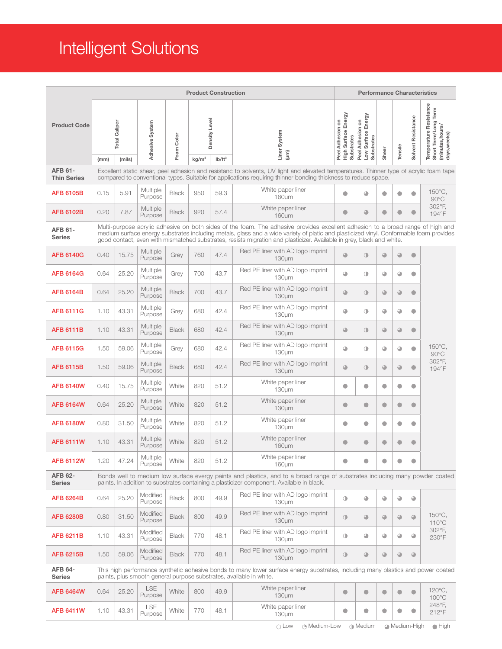## Intelligent Solutions

|                                      | <b>Product Construction</b>                                                                                                                                                                                                                              |                                |                       |              |                   |                            |                                                                                                                                                                                                                                                                                                                                                                                                    |                                                       |                                                            | <b>Performance Characteristics</b> |            |                    |                                                                                    |  |  |
|--------------------------------------|----------------------------------------------------------------------------------------------------------------------------------------------------------------------------------------------------------------------------------------------------------|--------------------------------|-----------------------|--------------|-------------------|----------------------------|----------------------------------------------------------------------------------------------------------------------------------------------------------------------------------------------------------------------------------------------------------------------------------------------------------------------------------------------------------------------------------------------------|-------------------------------------------------------|------------------------------------------------------------|------------------------------------|------------|--------------------|------------------------------------------------------------------------------------|--|--|
| <b>Product Code</b>                  | (mm)                                                                                                                                                                                                                                                     | <b>Total Caliper</b><br>(mils) | Adhesive System       | Foam Color   | kg/m <sup>3</sup> | Density Level<br>$Ib/ft^3$ | Liner System<br>$(\mu m)$                                                                                                                                                                                                                                                                                                                                                                          | High Surface Energy<br>Substrates<br>Peel Adhesion on | Energy<br>Peel Adhesion on<br>Surface<br>Substrates<br>Low | Sheer                              | Tensile    | Solvent Resistance | Temperature Resistance<br>Short Term/Long Term<br>(minutes, hours/<br>days, weeks) |  |  |
| <b>AFB 61-</b><br><b>Thin Series</b> | Excellent static shear, peel adhesion and resistanc to solvents, UV light and elevated temperatures. Thinner type of acrylic foam tape<br>compared to conventional types. Suitable for applications requiring thinner bonding thickness to reduce space. |                                |                       |              |                   |                            |                                                                                                                                                                                                                                                                                                                                                                                                    |                                                       |                                                            |                                    |            |                    |                                                                                    |  |  |
| <b>AFB 6105B</b>                     | 0.15                                                                                                                                                                                                                                                     | 5.91                           | Multiple<br>Purpose   | <b>Black</b> | 950               | 59.3                       | White paper liner<br>160um                                                                                                                                                                                                                                                                                                                                                                         | $\bullet$                                             | $\bigcirc$                                                 | $\bullet$                          | $\bullet$  | $\bullet$          | 150°C.<br>$90^{\circ}$ C                                                           |  |  |
| <b>AFB 6102B</b>                     | 0.20                                                                                                                                                                                                                                                     | 7.87                           | Multiple<br>Purpose   | <b>Black</b> | 920               | 57.4                       | White paper liner<br>160um                                                                                                                                                                                                                                                                                                                                                                         | $\bullet$                                             | $\bigcirc$                                                 | $\bullet$                          | $\bullet$  | $\bullet$          | 302°F,<br>194°F                                                                    |  |  |
| <b>AFB 61-</b><br><b>Series</b>      |                                                                                                                                                                                                                                                          |                                |                       |              |                   |                            | Multi-purpose acrylic adhesive on both sides of the foam. The adhesive provides excellent adhesion to a broad range of high and<br>medium surface energy substrates including metals, glass and a wide variety of platic and plasticized vinyl. Conformable foam provides<br>good contact, even with mismatched substrates, resists migration and plasticizer. Available in grey, black and white. |                                                       |                                                            |                                    |            |                    |                                                                                    |  |  |
| <b>AFB 6140G</b>                     | 0.40                                                                                                                                                                                                                                                     | 15.75                          | Multiple<br>Purpose   | Grey         | 760               | 47.4                       | Red PE liner with AD logo imprint<br>$130 \mu m$                                                                                                                                                                                                                                                                                                                                                   | $\bigcirc$                                            | $\circledcirc$                                             | $\bigcirc$                         | $\bigodot$ | $\bullet$          |                                                                                    |  |  |
| <b>AFB 6164G</b>                     | 0.64                                                                                                                                                                                                                                                     | 25.20                          | Multiple<br>Purpose   | Grey         | 700               | 43.7                       | Red PE liner with AD logo imprint<br>130um                                                                                                                                                                                                                                                                                                                                                         | $\bigcirc$                                            | $\circ$                                                    | $\bigcirc$                         | ◕          | $\bullet$          |                                                                                    |  |  |
| <b>AFB 6164B</b>                     | 0.64                                                                                                                                                                                                                                                     | 25.20                          | Multiple<br>Purpose   | <b>Black</b> | 700               | 43.7                       | Red PE liner with AD logo imprint<br>$130 \mu m$                                                                                                                                                                                                                                                                                                                                                   | $\bigcirc$                                            | $\circ$                                                    | $\bigcirc$                         | $\bigcirc$ | $\bullet$          | 150°C.<br>$90^{\circ}$ C<br>302°F,<br>194°F                                        |  |  |
| <b>AFB 6111G</b>                     | 1.10                                                                                                                                                                                                                                                     | 43.31                          | Multiple<br>Purpose   | Grey         | 680               | 42.4                       | Red PE liner with AD logo imprint<br>$130µ$ m                                                                                                                                                                                                                                                                                                                                                      | $\bullet$                                             | $\circ$                                                    | $\bigcirc$                         | $\bigcirc$ | $\bullet$          |                                                                                    |  |  |
| <b>AFB 6111B</b>                     | 1.10                                                                                                                                                                                                                                                     | 43.31                          | Multiple<br>Purpose   | <b>Black</b> | 680               | 42.4                       | Red PE liner with AD logo imprint<br>$130 \mu m$                                                                                                                                                                                                                                                                                                                                                   | $\bigcirc$                                            | $\circledcirc$                                             | $\bigcirc$                         | $\bigcirc$ | $\bullet$          |                                                                                    |  |  |
| <b>AFB 6115G</b>                     | 1.50                                                                                                                                                                                                                                                     | 59.06                          | Multiple<br>Purpose   | Grey         | 680               | 42.4                       | Red PE liner with AD logo imprint<br>130um                                                                                                                                                                                                                                                                                                                                                         | $\bullet$                                             | $\circ$                                                    | $\bigcirc$                         | $\bigcirc$ | $\bullet$          |                                                                                    |  |  |
| <b>AFB 6115B</b>                     | 1.50                                                                                                                                                                                                                                                     | 59.06                          | Multiple<br>Purpose   | <b>Black</b> | 680               | 42.4                       | Red PE liner with AD logo imprint<br>$130 \mu m$                                                                                                                                                                                                                                                                                                                                                   | $\bigcirc$                                            | $\circ$                                                    | $\bigcirc$                         | $\bigcirc$ | $\bullet$          |                                                                                    |  |  |
| <b>AFB 6140W</b>                     | 0.40                                                                                                                                                                                                                                                     | 15.75                          | Multiple<br>Purpose   | White        | 820               | 51.2                       | White paper liner<br>130um                                                                                                                                                                                                                                                                                                                                                                         | $\bullet$                                             | $\bullet$                                                  | ۰                                  | $\bullet$  | $\bullet$          |                                                                                    |  |  |
| <b>AFB 6164W</b>                     | 0.64                                                                                                                                                                                                                                                     | 25.20                          | Multiple<br>Purpose   | White        | 820               | 51.2                       | White paper liner<br>$130 \mu m$                                                                                                                                                                                                                                                                                                                                                                   | $\bullet$                                             | $\bullet$                                                  | O                                  | $\bullet$  | $\bullet$          |                                                                                    |  |  |
| <b>AFB 6180W</b>                     | 0.80                                                                                                                                                                                                                                                     | 31.50                          | Multiple<br>Purpose   | White        | 820               | 51.2                       | White paper liner<br>$130 \mu m$                                                                                                                                                                                                                                                                                                                                                                   | $\bullet$                                             | $\bullet$                                                  | О                                  | $\bullet$  | $\bullet$          |                                                                                    |  |  |
| <b>AFB 6111W</b>                     | 1.10                                                                                                                                                                                                                                                     | 43.31                          | Multiple<br>Purpose   | White        | 820               | 51.2                       | White paper liner<br>160µm                                                                                                                                                                                                                                                                                                                                                                         | $\bullet$                                             | $\bullet$                                                  | $\bullet$                          | $\bullet$  | $\bullet$          |                                                                                    |  |  |
| <b>AFB 6112W</b>                     | 1.20                                                                                                                                                                                                                                                     | 47.24                          | Multiple<br>Purpose   | White        | 820               | 51.2                       | White paper liner<br>160um                                                                                                                                                                                                                                                                                                                                                                         | $\bullet$                                             | $\bullet$                                                  | $\bullet$                          | $\bullet$  | $\bullet$          |                                                                                    |  |  |
| <b>AFB 62-</b><br><b>Series</b>      |                                                                                                                                                                                                                                                          |                                |                       |              |                   |                            | Bonds well to medium low surface evergy paints and plastics, and to a broad range of substrates including many powder coated<br>paints. In addition to substrates containing a plasticizer component. Available in black.                                                                                                                                                                          |                                                       |                                                            |                                    |            |                    |                                                                                    |  |  |
| <b>AFB 6264B</b>                     | 0.64                                                                                                                                                                                                                                                     | 25.20                          | Modified<br>Purpose   | <b>Black</b> | 800               | 49.9                       | Red PE liner with AD logo imprint<br>$130µ$ m                                                                                                                                                                                                                                                                                                                                                      | $\circ$                                               | $\bigcirc$                                                 | $\bigcirc$                         | $\bigcirc$ | $\bigcirc$         |                                                                                    |  |  |
| <b>AFB 6280B</b>                     | 0.80                                                                                                                                                                                                                                                     | 31.50                          | Modified<br>Purpose   | <b>Black</b> | 800               | 49.9                       | Red PE liner with AD logo imprint<br>$130 \mu m$                                                                                                                                                                                                                                                                                                                                                   | $\circ$                                               | $\bigcirc$                                                 | $\bigcirc$                         | $\bigcirc$ | ⊕                  | 150°C.<br>110°C<br>302°F,<br>230°F                                                 |  |  |
| <b>AFB 6211B</b>                     | 1.10                                                                                                                                                                                                                                                     | 43.31                          | Modified<br>Purpose   | <b>Black</b> | 770               | 48.1                       | Red PE liner with AD logo imprint<br>130um                                                                                                                                                                                                                                                                                                                                                         | $\circ$                                               | $\bigcirc$                                                 | ◕                                  | $\bigcirc$ | ◕                  |                                                                                    |  |  |
| <b>AFB 6215B</b>                     | 1.50                                                                                                                                                                                                                                                     | 59.06                          | Modified<br>Purpose   | <b>Black</b> | 770               | 48.1                       | Red PE liner with AD logo imprint<br>130um                                                                                                                                                                                                                                                                                                                                                         | $\circ$                                               | $\bigcirc$                                                 | $\bigcirc$                         | $\bigcirc$ | $\bigcirc$         |                                                                                    |  |  |
| <b>AFB 64-</b><br><b>Series</b>      |                                                                                                                                                                                                                                                          |                                |                       |              |                   |                            | This high performance synthetic adhesive bonds to many lower surface energy substrates, including many plastics and power coated<br>paints, plus smooth general purpose substrates, available in white.                                                                                                                                                                                            |                                                       |                                                            |                                    |            |                    |                                                                                    |  |  |
| <b>AFB 6464W</b>                     | 0.64                                                                                                                                                                                                                                                     | 25.20                          | <b>LSE</b><br>Purpose | White        | 800               | 49.9                       | White paper liner<br>$130 \mu m$                                                                                                                                                                                                                                                                                                                                                                   | $\bullet$                                             | $\bullet$                                                  | $\bullet$                          | $\bullet$  | $\bullet$          | $120^{\circ}$ C,<br>100°C                                                          |  |  |
| <b>AFB 6411W</b>                     | 1.10                                                                                                                                                                                                                                                     | 43.31                          | LSE<br>Purpose        | White        | 770               | 48.1                       | White paper liner<br>$130 \mu m$                                                                                                                                                                                                                                                                                                                                                                   | $\bullet$                                             | $\bullet$                                                  | $\bullet$                          | $\bullet$  | $\bullet$          | 248°F,<br>212°F                                                                    |  |  |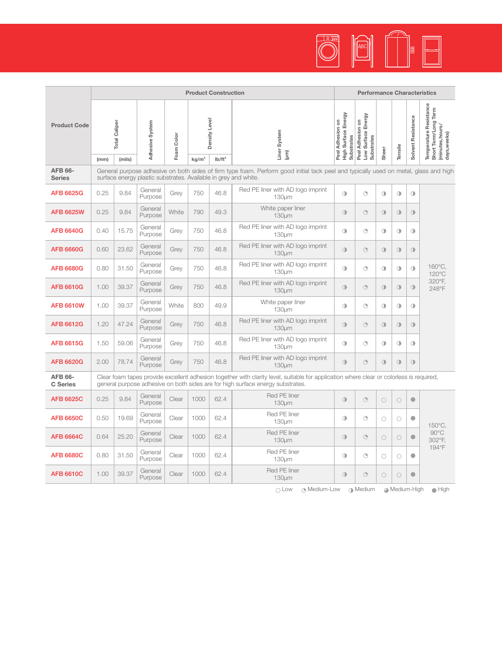![](_page_6_Picture_0.jpeg)

|                                   | <b>Product Construction</b>                               |                                                                                                                                                                                                         |                    |            |                                                 |      |                                                                                                                                                                                                                           |                                                       | <b>Performance Characteristics</b>                          |            |            |                    |                                                                                    |  |
|-----------------------------------|-----------------------------------------------------------|---------------------------------------------------------------------------------------------------------------------------------------------------------------------------------------------------------|--------------------|------------|-------------------------------------------------|------|---------------------------------------------------------------------------------------------------------------------------------------------------------------------------------------------------------------------------|-------------------------------------------------------|-------------------------------------------------------------|------------|------------|--------------------|------------------------------------------------------------------------------------|--|
| <b>Product Code</b>               | <b>Total Caliper</b><br>Adhesive System<br>(mm)<br>(mils) |                                                                                                                                                                                                         |                    | Foam Color | Density Level<br>ka/m <sup>3</sup><br>$Ib/ft^3$ |      | Liner System<br>(µm)                                                                                                                                                                                                      | High Surface Energy<br>Peel Adhesion on<br>Substrates | Peel Adhesion on<br>Low Surface Energy<br><b>Substrates</b> | Sheer      | Tensile    | Solvent Resistance | Temperature Resistance<br>Short Term/Long Term<br>(minutes, hours/<br>days, weeks) |  |
| <b>AFB 66-</b><br><b>Series</b>   |                                                           | General purpose adhesive on both sides of firm type foam. Perform good initial tack peel and typically used on metal, glass and high<br>surface energy plastic substrates. Available in grey and white. |                    |            |                                                 |      |                                                                                                                                                                                                                           |                                                       |                                                             |            |            |                    |                                                                                    |  |
| <b>AFB 6625G</b>                  | 0.25                                                      | 9.84                                                                                                                                                                                                    | General<br>Purpose | Grev       | 750                                             | 46.8 | Red PE liner with AD logo imprint<br>130um                                                                                                                                                                                | $\bigcirc$                                            | $\bigodot$                                                  | $\bigcirc$ | $\bigcirc$ | $\bigcirc$         |                                                                                    |  |
| <b>AFB 6625W</b>                  | 0.25                                                      | 9.84                                                                                                                                                                                                    | General<br>Purpose | White      | 790                                             | 49.3 | White paper liner<br>130µm                                                                                                                                                                                                | $\bigcirc$                                            | $\bigodot$                                                  | $\bigcirc$ | $\bigcirc$ | $\bigcirc$         |                                                                                    |  |
| <b>AFB 6640G</b>                  | 0.40                                                      | 15.75                                                                                                                                                                                                   | General<br>Purpose | Grev       | 750                                             | 46.8 | Red PE liner with AD logo imprint<br>130um                                                                                                                                                                                | $\bigcirc$                                            | $\bigcirc$                                                  | $\bigcirc$ | $\bigcirc$ | $\bigcirc$         | 160°C.<br>$120^{\circ}$ C<br>320°F.<br>248°F                                       |  |
| <b>AFB 6660G</b>                  | 0.60                                                      | 23.62                                                                                                                                                                                                   | General<br>Purpose | Grev       | 750                                             | 46.8 | Red PE liner with AD logo imprint<br>130um                                                                                                                                                                                | $\bigcirc$                                            | $\bigodot$                                                  | $\bigcirc$ | $\bigcirc$ | $\bigcirc$         |                                                                                    |  |
| <b>AFB 6680G</b>                  | 0.80                                                      | 31.50                                                                                                                                                                                                   | General<br>Purpose | Grey       | 750                                             | 46.8 | Red PE liner with AD logo imprint<br>130um                                                                                                                                                                                | $\bigcirc$                                            | $\odot$                                                     | $\bigcirc$ | $\bigcirc$ | $\bigcirc$         |                                                                                    |  |
| <b>AFB 6610G</b>                  | 1.00                                                      | 39.37                                                                                                                                                                                                   | General<br>Purpose | Grey       | 750                                             | 46.8 | Red PE liner with AD logo imprint<br>130µm                                                                                                                                                                                | $\bigcirc$                                            | $\odot$                                                     | $\bigcirc$ | $\bigcirc$ | $\bigcirc$         |                                                                                    |  |
| <b>AFB 6610W</b>                  | 1.00                                                      | 39.37                                                                                                                                                                                                   | General<br>Purpose | White      | 800                                             | 49.9 | White paper liner<br>130µm                                                                                                                                                                                                | $\bigcirc$                                            | $\bigodot$                                                  | $\bigcirc$ | $\bigcirc$ | $\bigcirc$         |                                                                                    |  |
| <b>AFB 6612G</b>                  | 1.20                                                      | 47.24                                                                                                                                                                                                   | General<br>Purpose | Grey       | 750                                             | 46.8 | Red PE liner with AD logo imprint<br>130um                                                                                                                                                                                | $\bigcirc$                                            | $\odot$                                                     | $\bigcirc$ | $\bigcirc$ | $\circ$            |                                                                                    |  |
| <b>AFB 6615G</b>                  | 1.50                                                      | 59.06                                                                                                                                                                                                   | General<br>Purpose | Grey       | 750                                             | 46.8 | Red PE liner with AD logo imprint<br>130um                                                                                                                                                                                | $\bigcirc$                                            | $\circledcirc$                                              | $\circ$    | $\bigcirc$ | $\circ$            |                                                                                    |  |
| <b>AFB 6620G</b>                  | 2.00                                                      | 78.74                                                                                                                                                                                                   | General<br>Purpose | Grey       | 750                                             | 46.8 | Red PE liner with AD logo imprint<br>130um                                                                                                                                                                                | $\bigcap$                                             | $\bigodot$                                                  | $\bigcirc$ | $\bigcirc$ | $\circ$            |                                                                                    |  |
| <b>AFB 66-</b><br><b>C</b> Series |                                                           |                                                                                                                                                                                                         |                    |            |                                                 |      | Clear foam tapes provide excellent adhesion together with clarity level, suitable for application where clear or colorless is required,<br>general purpose adhesive on both sides are for high surface energy substrates. |                                                       |                                                             |            |            |                    |                                                                                    |  |
| <b>AFB 6625C</b>                  | 0.25                                                      | 9.84                                                                                                                                                                                                    | General<br>Purpose | Clear      | 1000                                            | 62.4 | Red PE liner<br>130µm                                                                                                                                                                                                     | $\bigcirc$                                            | $\circledcirc$                                              | $\circ$    | $\circ$    | $\bullet$          |                                                                                    |  |
| <b>AFB 6650C</b>                  | 0.50                                                      | 19.69                                                                                                                                                                                                   | General<br>Purpose | Clear      | 1000                                            | 62.4 | Red PE liner<br>130um                                                                                                                                                                                                     | $\bigcirc$                                            | $\bigcirc$                                                  | $\bigcirc$ | $\circ$    | $\bullet$          | 150°C.<br>$90^{\circ}$ C<br>302°F.                                                 |  |
| <b>AFB 6664C</b>                  | 0.64                                                      | 25.20                                                                                                                                                                                                   | General<br>Purpose | Clear      | 1000                                            | 62.4 | Red PE liner<br>130µm                                                                                                                                                                                                     | $\bigcirc$                                            | $\bigodot$                                                  | $\bigcirc$ | $\bigcirc$ | $\bullet$          |                                                                                    |  |
| <b>AFB 6680C</b>                  | 0.80                                                      | 31.50                                                                                                                                                                                                   | General<br>Purpose | Clear      | 1000                                            | 62.4 | Red PE liner<br>130µm                                                                                                                                                                                                     | $\bigcirc$                                            | $\bigcirc$                                                  | $\bigcirc$ | $\bigcirc$ | $\bullet$          | 194°F                                                                              |  |
| <b>AFB 6610C</b>                  | 1.00                                                      | 39.37                                                                                                                                                                                                   | General<br>Purpose | Clear      | 1000                                            | 62.4 | Red PE liner<br>130µm                                                                                                                                                                                                     | $\bigcirc$                                            | $\odot$                                                     | $\bigcirc$ | $\circ$    | $\bullet$          |                                                                                    |  |

O Low O Medium-Low O Medium O Medium-High O High